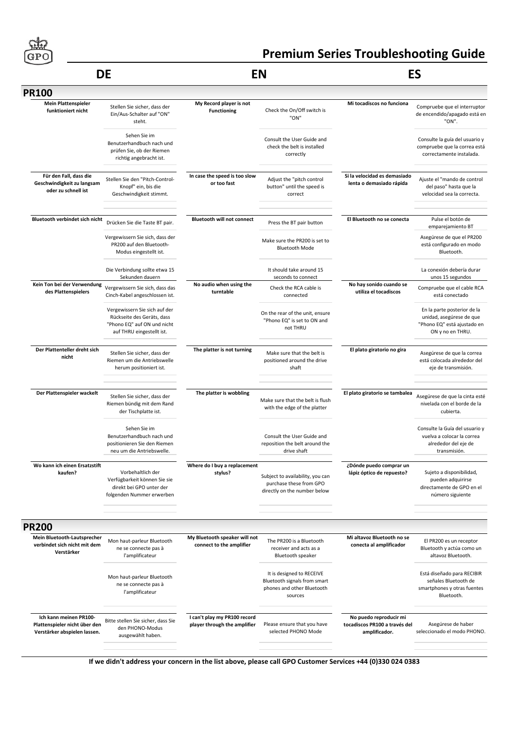

### **DE EN**

## **Premium Series Troubleshooting Guide**

## **ES**

| <b>PR100</b>                                                                            |                                                                                                                         |                                                              |                                                                                                    |                                                                          |                                                                                                            |
|-----------------------------------------------------------------------------------------|-------------------------------------------------------------------------------------------------------------------------|--------------------------------------------------------------|----------------------------------------------------------------------------------------------------|--------------------------------------------------------------------------|------------------------------------------------------------------------------------------------------------|
| <b>Mein Plattenspieler</b><br>funktioniert nicht                                        | Stellen Sie sicher, dass der<br>Ein/Aus-Schalter auf "ON"<br>steht.                                                     | My Record player is not<br><b>Functioning</b>                | Check the On/Off switch is<br>"ON"                                                                 | Mi tocadiscos no funciona                                                | Compruebe que el interruptor<br>de encendido/apagado está en<br>"ON".                                      |
|                                                                                         | Sehen Sie im<br>Benutzerhandbuch nach und<br>prüfen Sie, ob der Riemen<br>richtig angebracht ist.                       |                                                              | Consult the User Guide and<br>check the belt is installed<br>correctly                             |                                                                          | Consulte la guía del usuario y<br>compruebe que la correa está<br>correctamente instalada.                 |
| Für den Fall, dass die<br>Geschwindigkeit zu langsam<br>oder zu schnell ist             | Stellen Sie den "Pitch-Control-<br>Knopf" ein, bis die<br>Geschwindigkeit stimmt.                                       | In case the speed is too slow<br>or too fast                 | Adjust the "pitch control<br>button" until the speed is<br>correct                                 | Si la velocidad es demasiado<br>lenta o demasiado rápida                 | Ajuste el "mando de control<br>del paso" hasta que la<br>velocidad sea la correcta.                        |
| Bluetooth verbindet sich nicht                                                          | Drücken Sie die Taste BT pair.                                                                                          | <b>Bluetooth will not connect</b>                            | Press the BT pair button                                                                           | El Bluetooth no se conecta                                               | Pulse el botón de<br>emparejamiento BT                                                                     |
|                                                                                         | Vergewissern Sie sich, dass der<br>PR200 auf den Bluetooth-<br>Modus eingestellt ist.                                   |                                                              | Make sure the PR200 is set to<br><b>Bluetooth Mode</b>                                             |                                                                          | Asegúrese de que el PR200<br>está configurado en modo<br>Bluetooth.                                        |
|                                                                                         | Die Verbindung sollte etwa 15<br>Sekunden dauern                                                                        |                                                              | It should take around 15<br>seconds to connect                                                     |                                                                          | La conexión debería durar<br>unos 15 segundos                                                              |
| Kein Ton bei der Verwendung<br>des Plattenspielers                                      | Vergewissern Sie sich, dass das<br>Cinch-Kabel angeschlossen ist.                                                       | No audio when using the<br>turntable                         | Check the RCA cable is<br>connected                                                                | No hay sonido cuando se<br>utiliza el tocadiscos                         | Compruebe que el cable RCA<br>está conectado                                                               |
|                                                                                         | Vergewissern Sie sich auf der<br>Rückseite des Geräts, dass<br>"Phono EQ" auf ON und nicht<br>auf THRU eingestellt ist. |                                                              | On the rear of the unit, ensure<br>"Phono EQ" is set to ON and<br>not THRU                         |                                                                          | En la parte posterior de la<br>unidad, asegúrese de que<br>"Phono EQ" está ajustado en<br>ON y no en THRU. |
| Der Plattenteller dreht sich<br>nicht                                                   | Stellen Sie sicher, dass der<br>Riemen um die Antriebswelle<br>herum positioniert ist.                                  | The platter is not turning                                   | Make sure that the belt is<br>positioned around the drive<br>shaft                                 | El plato giratorio no gira                                               | Asegúrese de que la correa<br>está colocada alrededor del<br>eje de transmisión.                           |
|                                                                                         |                                                                                                                         |                                                              |                                                                                                    |                                                                          |                                                                                                            |
| Der Plattenspieler wackelt                                                              | Stellen Sie sicher, dass der<br>Riemen bündig mit dem Rand<br>der Tischplatte ist.                                      | The platter is wobbling                                      | Make sure that the belt is flush<br>with the edge of the platter                                   | El plato giratorio se tambalea                                           | Asegúrese de que la cinta esté<br>nivelada con el borde de la<br>cubierta.                                 |
|                                                                                         | Sehen Sie im<br>Benutzerhandbuch nach und<br>positionieren Sie den Riemen<br>neu um die Antriebswelle.                  |                                                              | Consult the User Guide and<br>reposition the belt around the<br>drive shaft                        |                                                                          | Consulte la Guía del usuario y<br>vuelva a colocar la correa<br>alrededor del eje de<br>transmisión.       |
| Wo kann ich einen Ersatzstift<br>kaufen?                                                | Vorbehaltlich der<br>Verfügbarkeit können Sie sie<br>direkt bei GPO unter der<br>folgenden Nummer erwerben              | Where do I buy a replacement<br>stylus?                      | Subject to availability, you can<br>purchase these from GPO<br>directly on the number below        | ¿Dónde puedo comprar un<br>lápiz óptico de repuesto?                     | Sujeto a disponibilidad,<br>pueden adquirirse<br>directamente de GPO en el<br>número siguiente             |
| <b>PR200</b>                                                                            |                                                                                                                         |                                                              |                                                                                                    |                                                                          |                                                                                                            |
| Mein Bluetooth-Lautsprecher<br>verbindet sich nicht mit dem<br>Verstärker               | Mon haut-parleur Bluetooth<br>ne se connecte pas à<br>l'amplificateur                                                   | My Bluetooth speaker will not<br>connect to the amplifier    | The PR200 is a Bluetooth<br>receiver and acts as a<br>Bluetooth speaker                            | Mi altavoz Bluetooth no se<br>conecta al amplificador                    | El PR200 es un receptor<br>Bluetooth y actúa como un<br>altavoz Bluetooth.                                 |
|                                                                                         | Mon haut-parleur Bluetooth<br>ne se connecte pas à<br>l'amplificateur                                                   |                                                              | It is designed to RECEIVE<br>Bluetooth signals from smart<br>phones and other Bluetooth<br>sources |                                                                          | Está diseñado para RECIBIR<br>señales Bluetooth de<br>smartphones y otras fuentes<br>Bluetooth.            |
| Ich kann meinen PR100-<br>Plattenspieler nicht über den<br>Verstärker abspielen lassen. | Bitte stellen Sie sicher, dass Sie<br>den PHONO-Modus<br>ausgewählt haben.                                              | I can't play my PR100 record<br>player through the amplifier | Please ensure that you have<br>selected PHONO Mode                                                 | No puedo reproducir mi<br>tocadiscos PR100 a través del<br>amplificador. | Asegúrese de haber<br>seleccionado el modo PHONO.                                                          |
|                                                                                         |                                                                                                                         |                                                              |                                                                                                    |                                                                          |                                                                                                            |

**If we didn't address your concern in the list above, please call GPO Customer Services +44 (0)330 024 0383**